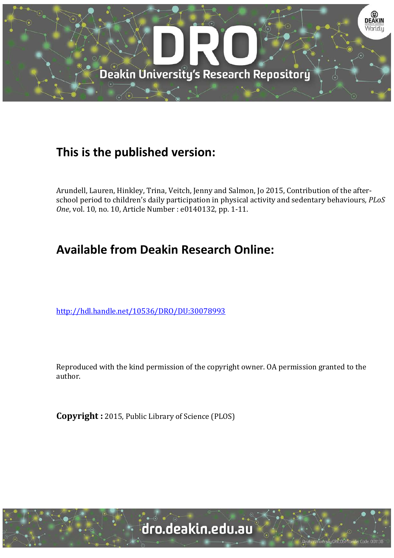

## **This is the published version:**

Arundell, Lauren, Hinkley, Trina, Veitch, Jenny and Salmon, Jo 2015, Contribution of the afterschool period to children's daily participation in physical activity and sedentary behaviours*, PLoS One*, vol. 10, no. 10, Article Number : e0140132, pp. 1-11.

# **Available from Deakin Research Online:**

<http://hdl.handle.net/10536/DRO/DU:30078993>

Reproduced with the kind permission of the copyright owner. OA permission granted to the author.

**Copyright :** 2015, Public Library of Science (PLOS)



sity CRICOS Provider Code: 00113E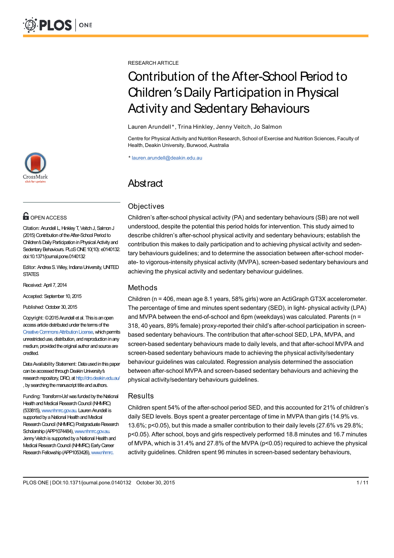

## **O** OPEN ACCESS

Citation: Arundell L, Hinkley T, Veitch J, Salmon J (2015) Contribution of the After-School Period to Children's Daily Participation in Physical Activity and Sedentary Behaviours. PLoS ONE 10(10): e0140132. doi:10.1371/journal.pone.0140132

Editor: Andrea S. Wiley, Indiana University, UNITED **STATES** 

Received: April 7, 2014

Accepted: September 10, 2015

Published: October 30, 2015

Copyright: ©2015Arundell et al. This is anopen access article distributed under the terms of the Creative Commons Attribution License, which permits unrestricteduse, distribution, and reproductioninany medium, provided the original author and source are credited.

Data Availability Statement: Data used in this paper can be accessed through Deakin University's research repository, DRO, at http://dro.deakin.edu.au/ , by searching the manuscript title and authors.

Funding: Transform-Us! was funded by the National Health and Medical Research Council (NHMRC) (533815), www.nhmrc.gov.au. Lauren Arundell is supported by a National Health and Medical Research Council (NHMRC) Postgraduate Research Scholarship (APP1074484), www.nhmrc.gov.au. Jenny Veitch is supported by a National Health and Medical Research Council (NHMRC) Early Career Research Fellowship (APP1053426), www.nhmrc.

RESEARCH ARTICLE

# Contribution of the After-School Period to Children'sDaily Participation in Physical Activity and Sedentary Behaviours

#### Lauren Arundell\*, Trina Hinkley, Jenny Veitch, Jo Salmon

Centre for Physical Activity and Nutrition Research, School of Exercise and Nutrition Sciences, Faculty of Health, Deakin University, Burwood, Australia

\* lauren.arundell@deakin.edu.au

## **Abstract**

## **Objectives**

Children's after-school physical activity (PA) and sedentary behaviours (SB) are not well understood, despite the potential this period holds for intervention. This study aimed to describe children's after-school physical activity and sedentary behaviours; establish the contribution this makes to daily participation and to achieving physical activity and sedentary behaviours guidelines; and to determine the association between after-school moderate- to vigorous-intensity physical activity (MVPA), screen-based sedentary behaviours and achieving the physical activity and sedentary behaviour guidelines.

## Methods

Children (n = 406, mean age 8.1 years, 58% girls) wore an ActiGraph GT3X accelerometer. The percentage of time and minutes spent sedentary (SED), in light- physical activity (LPA) and MVPA between the end-of-school and 6pm (weekdays) was calculated. Parents (n = 318, 40 years, 89% female) proxy-reported their child's after-school participation in screenbased sedentary behaviours. The contribution that after-school SED, LPA, MVPA, and screen-based sedentary behaviours made to daily levels, and that after-school MVPA and screen-based sedentary behaviours made to achieving the physical activity/sedentary behaviour guidelines was calculated. Regression analysis determined the association between after-school MVPA and screen-based sedentary behaviours and achieving the physical activity/sedentary behaviours guidelines.

## **Results**

Children spent 54% of the after-school period SED, and this accounted for 21% of children's daily SED levels. Boys spent a greater percentage of time in MVPA than girls (14.9% vs. 13.6%; p<0.05), but this made a smaller contribution to their daily levels (27.6% vs 29.8%; p<0.05). After school, boys and girls respectively performed 18.8 minutes and 16.7 minutes of MVPA, which is 31.4% and 27.8% of the MVPA (p<0.05) required to achieve the physical activity guidelines. Children spent 96 minutes in screen-based sedentary behaviours,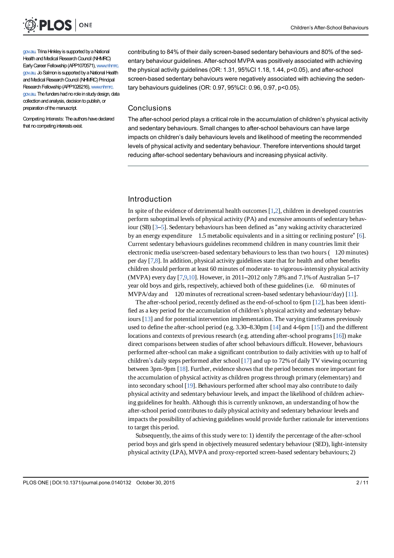

gov.au. Trina Hinkley is supported by a National Health and Medical Research Council (NHMRC) Early Career Fellowship (APP1070571), www.nhmrc. gov.au. Jo Salmon is supported by a National Health and Medical Research Council (NHMRC) Principal Research Fellowship (APP1026216), www.nhmrc. gov.au. The funders had no role in study design, data collection and analysis, decision to publish, or preparation of the manuscript.

Competing Interests: The authors have declared that no competing interests exist.

contributing to 84% of their daily screen-based sedentary behaviours and 80% of the sedentary behaviour guidelines. After-school MVPA was positively associated with achieving the physical activity guidelines (OR: 1.31, 95%CI 1.18, 1.44, p<0.05), and after-school screen-based sedentary behaviours were negatively associated with achieving the sedentary behaviours guidelines (OR: 0.97, 95%CI: 0.96, 0.97, p<0.05).

#### Conclusions

The after-school period plays a critical role in the accumulation of children's physical activity and sedentary behaviours. Small changes to after-school behaviours can have large impacts on children's daily behaviours levels and likelihood of meeting the recommended levels of physical activity and sedentary behaviour. Therefore interventions should target reducing after-school sedentary behaviours and increasing physical activity.

## Introduction

In spite of the evidence of detrimental health outcomes [1,2], children in developed countries perform suboptimal levels of physical activity (PA) and excessive amounts of sedentary behaviour (SB)  $[3-5]$ . Sedentary behaviours has been defined as "any waking activity characterized by an energy expenditure 1.5 metabolic equivalents and in a sitting or reclining posture" [6]. Current sedentary behaviours guidelines recommend children in many countries limit their electronic media use/screen-based sedentary behaviours to less than two hours (120 minutes) per day [7,8]. In addition, physical activity guidelines state that for health and other benefits children should perform at least 60 minutes of moderate- to vigorous-intensity physical activity (MVPA) every day [7,9,10]. However, in 2011–2012 only 7.8% and 7.1% of Australian 5–17 year old boys and girls, respectively, achieved both of these guidelines (i.e. 60 minutes of MVPA/day and 120 minutes of recreational screen-based sedentary behaviour/day) [11].

The after-school period, recently defined as the end-of-school to 6pm [12], has been identified as a key period for the accumulation of children's physical activity and sedentary behaviours [13] and for potential intervention implementation. The varying timeframes previously used to define the after-school period (e.g.  $3.30-8.30$  m [14] and 4-6pm [15]) and the different locations and contexts of previous research (e.g. attending after-school programs [16]) make direct comparisons between studies of after school behaviours difficult. However, behaviours performed after-school can make a significant contribution to daily activities with up to half of children's daily steps performed after school [17] and up to 72% of daily TV viewing occurring between 3pm-9pm [18]. Further, evidence shows that the period becomes more important for the accumulation of physical activity as children progress through primary (elementary) and into secondary school [19]. Behaviours performed after school may also contribute to daily physical activity and sedentary behaviour levels, and impact the likelihood of children achieving guidelines for health. Although this is currently unknown, an understanding of how the after-school period contributes to daily physical activity and sedentary behaviour levels and impacts the possibility of achieving guidelines would provide further rationale for interventions to target this period.

Subsequently, the aims of this study were to: 1) identify the percentage of the after-school period boys and girls spend in objectively measured sedentary behaviour (SED), light-intensity physical activity (LPA), MVPA and proxy-reported screen-based sedentary behaviours; 2)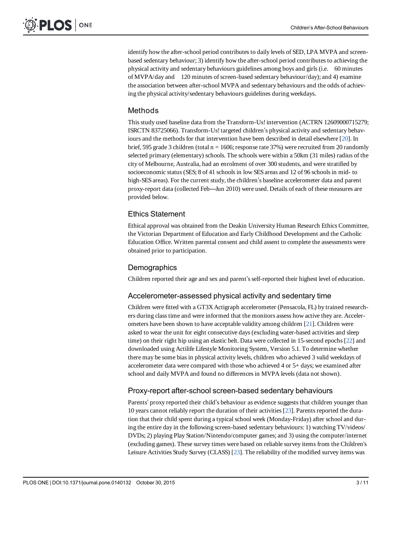identify how the after-school period contributes to daily levels of SED, LPA MVPA and screenbased sedentary behaviour; 3) identify how the after-school period contributes to achieving the physical activity and sedentary behaviours guidelines among boys and girls (i.e. 60 minutes of MVPA/day and 120 minutes of screen-based sedentary behaviour/day); and 4) examine the association between after-school MVPA and sedentary behaviours and the odds of achieving the physical activity/sedentary behaviours guidelines during weekdays.

## Methods

This study used baseline data from the Transform-Us! intervention (ACTRN 12609000715279; ISRCTN 83725066). Transform-Us! targeted children's physical activity and sedentary behaviours and the methods for that intervention have been described in detail elsewhere  $[20]$ . In brief, 595 grade 3 children (total  $n = 1606$ ; response rate 37%) were recruited from 20 randomly selected primary (elementary) schools. The schools were within a 50km (31 miles) radius of the city of Melbourne, Australia, had an enrolment of over 300 students, and were stratified by socioeconomic status (SES; 8 of 41 schools in low SES areas and 12 of 96 schools in mid- to high-SES areas). For the current study, the children's baseline accelerometer data and parent proxy-report data (collected Feb—Jun 2010) were used. Details of each of these measures are provided below.

## Ethics Statement

Ethical approval was obtained from the Deakin University Human Research Ethics Committee, the Victorian Department of Education and Early Childhood Development and the Catholic Education Office. Written parental consent and child assent to complete the assessments were obtained prior to participation.

## **Demographics**

Children reported their age and sex and parent's self-reported their highest level of education.

## Accelerometer-assessed physical activity and sedentary time

Children were fitted with a GT3X Actigraph accelerometer (Pensacola, FL) by trained researchers during class time and were informed that the monitors assess how active they are. Accelerometers have been shown to have acceptable validity among children [21]. Children were asked to wear the unit for eight consecutive days (excluding water-based activities and sleep time) on their right hip using an elastic belt. Data were collected in 15-second epochs [22] and downloaded using Actilife Lifestyle Monitoring System, Version 5.1. To determine whether there may be some bias in physical activity levels, children who achieved 3 valid weekdays of accelerometer data were compared with those who achieved 4 or 5+ days; we examined after school and daily MVPA and found no differences in MVPA levels (data not shown).

## Proxy-report after-school screen-based sedentary behaviours

Parents' proxy reported their child's behaviour as evidence suggests that children younger than 10 years cannot reliably report the duration of their activities [23]. Parents reported the duration that their child spent during a typical school week (Monday-Friday) after school and during the entire day in the following screen-based sedentary behaviours: 1) watching TV/videos/ DVDs; 2) playing Play Station/Nintendo/computer games; and 3) using the computer/internet (excluding games). These survey times were based on reliable survey items from the Children's Leisure Activities Study Survey (CLASS) [23]. The reliability of the modified survey items was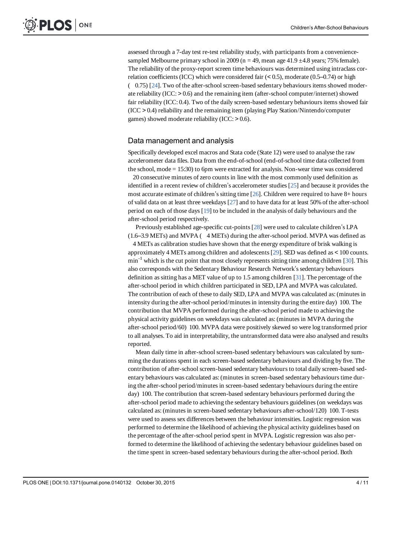assessed through a 7-day test re-test reliability study, with participants from a conveniencesampled Melbourne primary school in 2009 ( $n = 49$ , mean age 41.9  $\pm$ 4.8 years; 75% female). The reliability of the proxy-report screen time behaviours was determined using intraclass correlation coefficients (ICC) which were considered fair  $(< 0.5$ ), moderate (0.5–0.74) or high  $(0.75)$  [24]. Two of the after-school screen-based sedentary behaviours items showed moderate reliability (ICC: > 0.6) and the remaining item (after-school computer/internet) showed fair reliability (ICC: 0.4). Two of the daily screen-based sedentary behaviours items showed fair (ICC > 0.4) reliability and the remaining item (playing Play Station/Nintendo/computer games) showed moderate reliability (ICC: > 0.6).

#### Data management and analysis

Specifically developed excel macros and Stata code (State 12) were used to analyse the raw accelerometer data files. Data from the end-of-school (end-of-school time data collected from the school, mode = 15:30) to 6pm were extracted for analysis. Non-wear time was considered

20 consecutive minutes of zero counts in line with the most commonly used definition as identified in a recent review of children's accelerometer studies [25] and because it provides the most accurate estimate of children's sitting time  $[26]$ . Children were required to have 8+ hours of valid data on at least three weekdays [27] and to have data for at least 50% of the after-school period on each of those days [19] to be included in the analysis of daily behaviours and the after-school period respectively.

Previously established age-specific cut-points [28] were used to calculate children's LPA  $(1.6-3.9 \text{ METs})$  and MVPA  $(4 \text{ METs})$  during the after-school period. MVPA was defined as

4 METs as calibration studies have shown that the energy expenditure of brisk walking is approximately 4 METs among children and adolescents [29]. SED was defined as < 100 counts.  $min^{-1}$  which is the cut point that most closely represents sitting time among children  $[30]$ . This also corresponds with the Sedentary Behaviour Research Network's sedentary behaviours definition as sitting has a MET value of up to 1.5 among children [31]. The percentage of the after-school period in which children participated in SED, LPA and MVPA was calculated. The contribution of each of these to daily SED, LPA and MVPA was calculated as: (minutes in intensity during the after-school period/minutes in intensity during the entire day) 100. The contribution that MVPA performed during the after-school period made to achieving the physical activity guidelines on weekdays was calculated as: (minutes in MVPA during the after-school period/60)100. MVPA data were positively skewed so were log transformed prior to all analyses. To aid in interpretability, the untransformed data were also analysed and results reported.

Mean daily time in after-school screen-based sedentary behaviours was calculated by summing the durations spent in each screen-based sedentary behaviours and dividing by five. The contribution of after-school screen-based sedentary behaviours to total daily screen-based sedentary behaviours was calculated as: (minutes in screen-based sedentary behaviours time during the after-school period/minutes in screen-based sedentary behaviours during the entire day) 100. The contribution that screen-based sedentary behaviours performed during the after-school period made to achieving the sedentary behaviours guidelines (on weekdays was calculated as: (minutes in screen-based sedentary behaviours after-school/120) 100. T-tests were used to assess sex differences between the behaviour intensities. Logistic regression was performed to determine the likelihood of achieving the physical activity guidelines based on the percentage of the after-school period spent in MVPA. Logistic regression was also performed to determine the likelihood of achieving the sedentary behaviour guidelines based on the time spent in screen-based sedentary behaviours during the after-school period. Both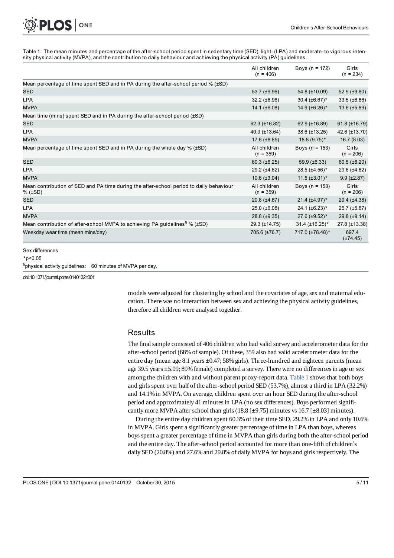Table 1. The mean minutes and percentage of the after-school period spent in sedentary time (SED), light- (LPA) and moderate- to vigorous-intensity physical activity (MVPA), and the contribution to daily behaviour and achieving the physical activity (PA) guidelines.

|                                                                                                   | All children<br>$(n = 406)$ | Boys ( $n = 172$ )     | Girls<br>$(n = 234)$   |
|---------------------------------------------------------------------------------------------------|-----------------------------|------------------------|------------------------|
| Mean percentage of time spent SED and in PA during the after-school period $%$ ( $\pm$ SD)        |                             |                        |                        |
| <b>SED</b>                                                                                        | 53.7 (±9.96)                | 54.8 (±10.09)          | 52.9 $(\pm 9.80)$      |
| <b>LPA</b>                                                                                        | $32.2 (\pm 6.96)$           | $30.4 \ (\pm 6.67)^*$  | $33.5 \ (\pm 6.86)$    |
| <b>MVPA</b>                                                                                       | 14.1 $(\pm 6.08)$           | 14.9 $(\pm 6.26)$ *    | $13.6 \ (\pm 5.89)$    |
| Mean time (mins) spent SED and in PA during the after-school period $(\pm SD)$                    |                             |                        |                        |
| <b>SED</b>                                                                                        | 62.3 (±16.82)               | 62.9 $(\pm 16.89)$     | 61.8 $(\pm 16.79)$     |
| <b>LPA</b>                                                                                        | 40.9 (±13.64)               | 38.6 (±13.25)          | 42.6 (±13.70)          |
| <b>MVPA</b>                                                                                       | $17.6 (\pm 8.85)$           | 18.8 (9.75)*           | 16.7(8.03)             |
| Mean percentage of time spent SED and in PA during the whole day % (±SD)                          | All children<br>$(n = 359)$ | Boys ( $n = 153$ )     | Girls<br>$(n = 206)$   |
| <b>SED</b>                                                                                        | $60.3 (\pm 6.25)$           | 59.9 $(\pm 6.33)$      | 60.5 ( $\pm$ 6.20)     |
| <b>LPA</b>                                                                                        | $29.2 (\pm 4.62)$           | 28.5 $(\pm 4.56)*$     | 29.6 (±4.62)           |
| <b>MVPA</b>                                                                                       | $10.6 (\pm 3.04)$           | $11.5 \ (\pm 3.01)^*$  | $9.9 (\pm 2.87)$       |
| Mean contribution of SED and PA time during the after-school period to daily behaviour<br>% (±SD) | All children<br>$(n = 359)$ | Boys ( $n = 153$ )     | Girls<br>$(n = 206)$   |
| <b>SED</b>                                                                                        | $20.8 (\pm 4.67)$           | $21.4 \ (\pm 4.97)*$   | $20.4$ ( $\pm 4.38$ )  |
| <b>LPA</b>                                                                                        | $25.0$ ( $\pm 6.08$ )       | $24.1 (\pm 6.23)^*$    | $25.7 \ (\pm 5.87)$    |
| <b>MVPA</b>                                                                                       | $28.8 (\pm 9.35)$           | 27.6 $(\pm 9.52)$ *    | 29.8 (±9.14)           |
| Mean contribution of after-school MVPA to achieving PA guidelines <sup>§</sup> % ( $\pm$ SD)      | 29.3 (±14.75)               | $31.4 \ (\pm 16.25)^*$ | 27.8 (±13.38)          |
| Weekday wear time (mean mins/day)                                                                 | 705.6 (±76.7)               | 717.0 (±78.48)*        | 697.4<br>$(\pm 74.45)$ |

Sex differences

\*p<0.05

§ physical activity guidelines: 60 minutes of MVPA per day.

doi:10.1371/journal.pone.0140132.t001

PLOS ONE

models were adjusted for clustering by school and the covariates of age, sex and maternal education. There was no interaction between sex and achieving the physical activity guidelines, therefore all children were analysed together.

### **Results**

The final sample consisted of 406 children who had valid survey and accelerometer data for the after-school period (68% of sample). Of these, 359 also had valid accelerometer data for the entire day (mean age 8.1 years  $\pm 0.47$ ; 58% girls). Three-hundred and eighteen parents (mean age 39.5 years ±5.09; 89% female) completed a survey. There were no differences in age or sex among the children with and without parent proxy-report data. Table 1 shows that both boys and girls spent over half of the after-school period SED (53.7%), almost a third in LPA (32.2%) and 14.1% in MVPA. On average, children spent over an hour SED during the after-school period and approximately 41 minutes in LPA (no sex differences). Boys performed significantly more MVPA after school than girls (18.8 [ $\pm$ 9.75] minutes vs 16.7 [ $\pm$ 8.03] minutes).

During the entire day children spent 60.3% of their time SED, 29.2% in LPA and only 10.6% in MVPA. Girls spent a significantly greater percentage of time in LPA than boys, whereas boys spent a greater percentage of time in MVPA than girls during both the after-school period and the entire day. The after-school period accounted for more than one-fifth of children's daily SED (20.8%) and 27.6% and 29.8% of daily MVPA for boys and girls respectively. The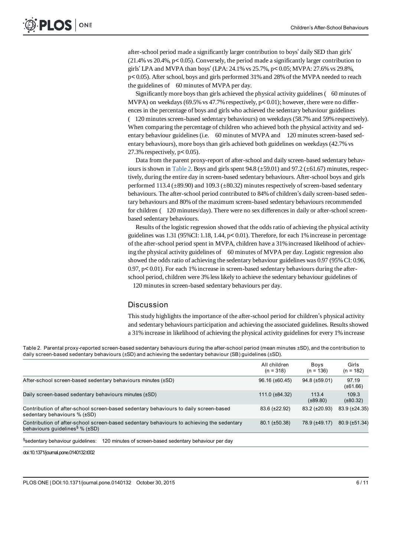after-school period made a significantly larger contribution to boys' daily SED than girls' (21.4% vs 20.4%, p< 0.05). Conversely, the period made a significantly larger contribution to girls' LPA and MVPA than boys' (LPA: 24.1% vs 25.7%, p< 0.05; MVPA: 27.6% vs 29.8%, p< 0.05). After school, boys and girls performed 31% and 28% of the MVPA needed to reach the guidelines of 60 minutes of MVPA per day.

Significantly more boys than girls achieved the physical activity guidelines (60 minutes of MVPA) on weekdays (69.5% vs 47.7% respectively,  $p < 0.01$ ); however, there were no differences in the percentage of boys and girls who achieved the sedentary behaviour guidelines (120 minutes screen-based sedentary behaviours) on weekdays (58.7% and 59% respectively). When comparing the percentage of children who achieved both the physical activity and sedentary behaviour guidelines (i.e. 60 minutes of MVPA and 120 minutes screen-based sedentary behaviours), more boys than girls achieved both guidelines on weekdays (42.7% vs 27.3% respectively,  $p < 0.05$ ).

Data from the parent proxy-report of after-school and daily screen-based sedentary behaviours is shown in <u>Table 2</u>. Boys and girls spent  $94.8 \ (\pm 59.01)$  and  $97.2 \ (\pm 61.67)$  minutes, respectively, during the entire day in screen-based sedentary behaviours. After-school boys and girls performed 113.4 ( $\pm$ 89.90) and 109.3 ( $\pm$ 80.32) minutes respectively of screen-based sedentary behaviours. The after-school period contributed to 84% of children's daily screen-based sedentary behaviours and 80% of the maximum screen-based sedentary behaviours recommended for children (120 minutes/day). There were no sex differences in daily or after-school screenbased sedentary behaviours.

Results of the logistic regression showed that the odds ratio of achieving the physical activity guidelines was 1.31 (95%CI: 1.18, 1.44, p< 0.01). Therefore, for each 1% increase in percentage of the after-school period spent in MVPA, children have a 31% increased likelihood of achieving the physical activity guidelines of 60 minutes of MVPA per day. Logistic regression also showed the odds ratio of achieving the sedentary behaviour guidelines was 0.97 (95% CI: 0.96, 0.97, p< 0.01). For each 1%increase in screen-based sedentary behaviours during the afterschool period, children were 3% less likely to achieve the sedentary behaviour guidelines of 120 minutes in screen-based sedentary behaviours per day.

#### Discussion

This study highlights the importance of the after-school period for children's physical activity and sedentary behaviours participation and achieving the associated guidelines. Results showed a 31%increase in likelihood of achieving the physical activity guidelines for every 1% increase

Table 2. Parental proxy-reported screen-based sedentary behaviours during the after-school period (mean minutes ±SD), and the contribution to daily screen-based sedentary behaviours (±SD) and achieving the sedentary behaviour (SB) guidelines (±SD).

|                                                                                                                                    | All children<br>$(n = 318)$ | Boys<br>$(n = 136)$    | Girls<br>$(n = 182)$   |
|------------------------------------------------------------------------------------------------------------------------------------|-----------------------------|------------------------|------------------------|
| After-school screen-based sedentary behaviours minutes (±SD)                                                                       | $96.16 (\pm 60.45)$         | $94.8 \ (\pm 59.01)$   | 97.19<br>$(\pm 61.66)$ |
| Daily screen-based sedentary behaviours minutes (±SD)                                                                              | $111.0 (\pm 84.32)$         | 113.4<br>$(\pm 89.80)$ | 109.3<br>$(\pm 80.32)$ |
| Contribution of after-school screen-based sedentary behaviours to daily screen-based<br>sedentary behaviours % (±SD)               | $83.6 (\pm 22.92)$          | 83.2 (±20.93)          | 83.9 (±24.35)          |
| Contribution of after-school screen-based sedentary behaviours to achieving the sedentary<br>behaviours quidelines $%$ ( $\pm$ SD) | $80.1 (\pm 50.38)$          | 78.9 (±49.17)          | 80.9 (±51.34)          |
| <sup>§</sup> sedentary behaviour guidelines:<br>120 minutes of screen-based sedentary behaviour per day                            |                             |                        |                        |

doi:10.1371/journal.pone.0140132.t002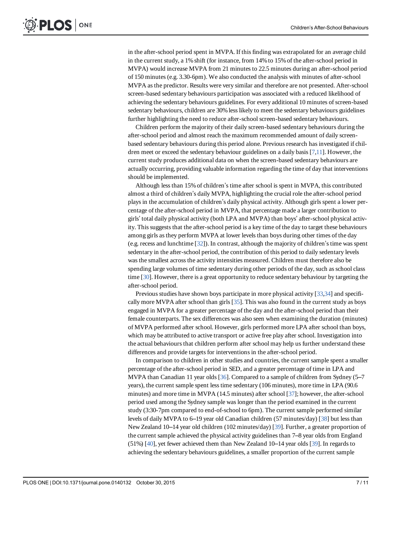in the after-school period spent in MVPA. If this finding was extrapolated for an average child in the current study, a 1% shift (for instance, from 14% to 15% of the after-school period in MVPA) would increase MVPA from 21 minutes to 22.5 minutes during an after-school period of 150 minutes (e.g. 3.30-6pm). We also conducted the analysis with minutes of after-school MVPA as the predictor. Results were very similar and therefore are not presented. After-school screen-based sedentary behaviours participation was associated with a reduced likelihood of achieving the sedentary behaviours guidelines. For every additional 10 minutes of screen-based sedentary behaviours, children are 30% less likely to meet the sedentary behaviours guidelines further highlighting the need to reduce after-school screen-based sedentary behaviours.

Children perform the majority of their daily screen-based sedentary behaviours during the after-school period and almost reach the maximum recommended amount of daily screenbased sedentary behaviours during this period alone. Previous research has investigated if children meet or exceed the sedentary behaviour guidelines on a daily basis [7,11]. However, the current study produces additional data on when the screen-based sedentary behaviours are actually occurring, providing valuable information regarding the time of day that interventions should be implemented.

Although less than 15% of children's time after school is spent in MVPA, this contributed almost a third of children's daily MVPA, highlighting the crucial role the after-school period plays in the accumulation of children's daily physical activity. Although girls spent a lower percentage of the after-school period in MVPA, that percentage made a larger contribution to girls' total daily physical activity (both LPA and MVPA) than boys' after-school physical activity. This suggests that the after-school period is a key time of the day to target these behaviours among girls as they perform MVPA at lower levels than boys during other times of the day (e.g. recess and lunchtime [32]). In contrast, although the majority of children's time was spent sedentary in the after-school period, the contribution of this period to daily sedentary levels was the smallest across the activity intensities measured. Children must therefore also be spending large volumes of time sedentary during other periods of the day, such as school class time [30]. However, there is a great opportunity to reduce sedentary behaviour by targeting the after-school period.

Previous studies have shown boys participate in more physical activity [33,34] and specifically more MVPA after school than girls [35]. This was also found in the current study as boys engaged in MVPA for a greater percentage of the day and the after-school period than their female counterparts. The sex differences was also seen when examining the duration (minutes) of MVPA performed after school. However, girls performed more LPA after school than boys, which may be attributed to active transport or active free play after school. Investigation into the actual behaviours that children perform after school may help us further understand these differences and provide targets for interventions in the after-school period.

In comparison to children in other studies and countries, the current sample spent a smaller percentage of the after-school period in SED, and a greater percentage of time in LPA and MVPA than Canadian 11 year olds [36]. Compared to a sample of children from Sydney (5–7 years), the current sample spent less time sedentary (106 minutes), more time in LPA (90.6 minutes) and more time in MVPA (14.5 minutes) after school [37]; however, the after-school period used among the Sydney sample was longer than the period examined in the current study (3:30-7pm compared to end-of-school to 6pm). The current sample performed similar levels of daily MVPA to 6–19 year old Canadian children (57 minutes/day) [38] but less than New Zealand 10–14 year old children (102 minutes/day) [39]. Further, a greater proportion of the current sample achieved the physical activity guidelines than 7–8 year olds from England (51%) [40], yet fewer achieved them than New Zealand 10–14 year olds [39]. In regards to achieving the sedentary behaviours guidelines, a smaller proportion of the current sample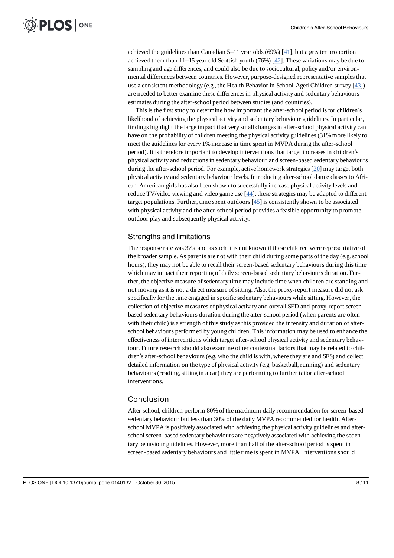achieved the guidelines than Canadian 5–11 year olds (69%) [41], but a greater proportion achieved them than 11–15 year old Scottish youth (76%)  $[42]$ . These variations may be due to sampling and age differences, and could also be due to sociocultural, policy and/or environmental differences between countries. However, purpose-designed representative samples that use a consistent methodology (e.g., the Health Behavior in School-Aged Children survey [43]) are needed to better examine these differences in physical activity and sedentary behaviours estimates during the after-school period between studies (and countries).

This is the first study to determine how important the after-school period is for children's likelihood of achieving the physical activity and sedentary behaviour guidelines. In particular, findings highlight the large impact that very small changes in after-school physical activity can have on the probability of children meeting the physical activity guidelines (31% more likely to meet the guidelines for every 1% increase in time spent in MVPA during the after-school period). It is therefore important to develop interventions that target increases in children's physical activity and reductions in sedentary behaviour and screen-based sedentary behaviours during the after-school period. For example, active homework strategies [20] may target both physical activity and sedentary behaviour levels. Introducing after-school dance classes to African-American girls has also been shown to successfully increase physical activity levels and reduce TV/video viewing and video game use [44]; these strategies may be adapted to different target populations. Further, time spent outdoors [45] is consistently shown to be associated with physical activity and the after-school period provides a feasible opportunity to promote outdoor play and subsequently physical activity.

### Strengths and limitations

The response rate was 37% and as such it is not known if these children were representative of the broader sample. As parents are not with their child during some parts of the day (e.g. school hours), they may not be able to recall their screen-based sedentary behaviours during this time which may impact their reporting of daily screen-based sedentary behaviours duration. Further, the objective measure of sedentary time may include time when children are standing and not moving as it is not a direct measure of sitting. Also, the proxy-report measure did not ask specifically for the time engaged in specific sedentary behaviours while sitting. However, the collection of objective measures of physical activity and overall SED and proxy-report screenbased sedentary behaviours duration during the after-school period (when parents are often with their child) is a strength of this study as this provided the intensity and duration of afterschool behaviours performed by young children. This information may be used to enhance the effectiveness of interventions which target after-school physical activity and sedentary behaviour. Future research should also examine other contextual factors that may be related to children's after-school behaviours (e.g. who the child is with, where they are and SES) and collect detailed information on the type of physical activity (e.g. basketball, running) and sedentary behaviours (reading, sitting in a car) they are performing to further tailor after-school interventions.

#### Conclusion

After school, children perform 80% of the maximum daily recommendation for screen-based sedentary behaviour but less than 30% of the daily MVPA recommended for health. Afterschool MVPA is positively associated with achieving the physical activity guidelines and afterschool screen-based sedentary behaviours are negatively associated with achieving the sedentary behaviour guidelines. However, more than half of the after-school period is spent in screen-based sedentary behaviours and little time is spent in MVPA. Interventions should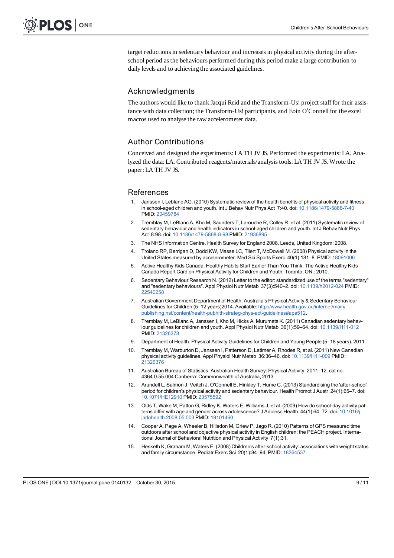target reductions in sedentary behaviour and increases in physical activity during the afterschool period as the behaviours performed during this period make a large contribution to daily levels and to achieving the associated guidelines.

## Acknowledgments

The authors would like to thank Jacqui Reid and the Transform-Us! project staff for their assistance with data collection; the Transform-Us! participants, and Eoin O'Connell for the excel macros used to analyse the raw accelerometer data.

## Author Contributions

Conceived and designed the experiments: LA TH JV JS. Performed the experiments: LA. Analyzed the data: LA. Contributed reagents/materials/analysis tools: LA TH JV JS. Wrote the paper: LA TH JV JS.

#### References

- 1. Janssen I, Leblanc AG. (2010) Systematic review of the health benefits of physical activity and fitness in school-aged children and youth. Int J Behav Nutr Phys Act 7:40. doi: 10.1186/1479-5868-7-40 PMID: 20459784
- 2. Tremblay M, LeBlanc A, Kho M, Saunders T, Larouche R, Colley R, et al. (2011) Systematic review of sedentary behaviour and health indicators in school-aged children and youth. Int J Behav Nutr Phys Act 8:98. doi: 10.1186/1479-5868-8-98 PMID: 21936895
- 3. The NHS Information Centre. Health Survey for England 2008. Leeds, United Kingdom: 2008.
- 4. Troiano RP, Berrigan D, Dodd KW, Masse LC, Tilert T, McDowell M. (2008) Physical activity in the United States measured by accelerometer. Med Sci Sports Exerc 40(1):181–8. PMID: 18091006
- 5. Active Healthy Kids Canada. Healthy Habits Start Earlier Than You Think. The Active Healthy Kids Canada Report Card on Physical Activity for Children and Youth. Toronto, ON.: 2010.
- 6. Sedentary Behaviour Research N. (2012) Letter to the editor: standardized use of the terms "sedentary" and "sedentary behaviours". Appl Physiol Nutr Metab 37(3):540–2. doi: 10.1139/h2012-024 PMID: 22540258
- 7. Australian Government Department of Health. Australia's Physical Activity & Sedentary Behaviour Guidelines for Children (5–12 years)2014. Available: http://www.health.gov.au/internet/main/ publishing.nsf/content/health-pubhlth-strateg-phys-act-guidelines#apa512.
- 8. Tremblay M, LeBlanc A, Janssen I, Kho M, Hicks A, Murumets K. (2011) Canadian sedentary behaviour guidelines for children and youth. Appl Physiol Nutr Metab 36(1):59–64. doi: 10.1139/H11-012 PMID: 21326378
- 9. Department of Health. Physical Activity Guidelines for Children and Young People (5–18 years). 2011.
- 10. Tremblay M, Warburton D, Janssen I, Patterson D, Latimer A, Rhodes R, et al. (2011) New Canadian physical activity guidelines. Appl Physiol Nutr Metab 36:36–46. doi: 10.1139/H11-009 PMID: 21326376
- 11. Australian Bureau of Statistics. Australian Health Survey: Physical Activity, 2011–12. cat no. 4364.0.55.004 Canberra: Commonwealth of Australia, 2013.
- 12. Arundell L, Salmon J, Veitch J, O'Connell E, Hinkley T, Hume C. (2013) Standardising the 'after-school' period for children's physical activity and sedentary behaviour. Health Promot J Austr 24(1):65–7. doi: 10.1071/HE12910 PMID: 23575592
- 13. Olds T, Wake M, Patton G, Ridley K, Waters E, Williams J, et al. (2009) How do school-day activity patterns differ with age and gender across adolescence? J Adolesc Health 44(1):64–72. doi: 10.1016/j. jadohealth.2008.05.003 PMID: 19101460
- 14. Cooper A, Page A, Wheeler B, Hillsdon M, Griew P, Jago R. (2010) Patterns of GPS measured time outdoors after school and objective physical activity in English children: the PEACH project. International Journal of Behavioral Nutrition and Physical Activity 7(1):31.
- 15. Hesketh K, Graham M, Waters E. (2008) Children's after-school activity: associations with weight status and family circumstance. Pediatr Exerc Sci 20(1):84-94. PMID: 18364537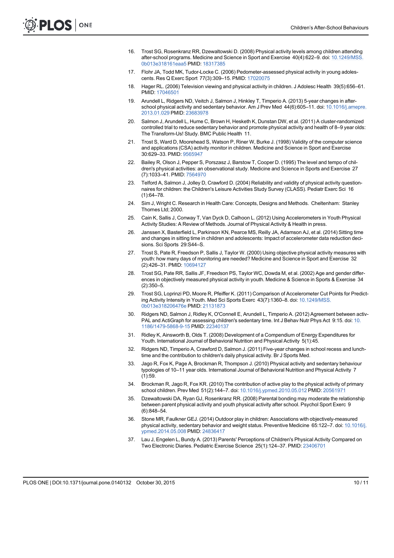- 16. Trost SG, Rosenkranz RR, Dzewaltowski D. (2008) Physical activity levels among children attending after-school programs. Medicine and Science in Sport and Exercise 40(4):622–9. doi: 10.1249/MSS. 0b013e318161eaa5 PMID: 18317385
- 17. Flohr JA, Todd MK, Tudor-Locke C. (2006) Pedometer-assessed physical activity in young adolescents. Res Q Exerc Sport 77(3):309–15. PMID: 17020075
- 18. Hager RL. (2006) Television viewing and physical activity in children. J Adolesc Health 39(5):656–61. PMID: 17046501
- 19. Arundell L, Ridgers ND, Veitch J, Salmon J, Hinkley T, Timperio A. (2013) 5-year changes in afterschool physical activity and sedentary behavior. Am J Prev Med 44(6):605-11. doi: 10.1016/j.amepre. 2013.01.029 PMID: 23683978
- 20. Salmon J, Arundell L, Hume C, Brown H, Hesketh K, Dunstan DW, et al. (2011) A cluster-randomized controlled trial to reduce sedentary behavior and promote physical activity and health of 8–9 year olds: The Transform-Us! Study. BMC Public Health 11.
- 21. Trost S, Ward D, Moorehead S, Watson P, Riner W, Burke J. (1998) Validity of the computer science and applications (CSA) activity monitor in children. Medicine and Science in Sport and Exercise 30:629–33. PMID: 9565947
- 22. Bailey R, Olson J, Pepper S, Porszasz J, Barstow T, Cooper D. (1995) The level and tempo of children's physical activities: an observational study. Medicine and Science in Sports and Exercise 27 (7):1033–41. PMID: 7564970
- 23. Telford A, Salmon J, Jolley D, Crawford D. (2004) Reliability and validity of physical activity questionnaires for children: the Children's Leisure Activities Study Survey (CLASS). Pediatr Exerc Sci 16  $(1)$  $64 - 78$
- 24. Sim J, Wright C. Research in Health Care: Concepts, Designs and Methods. Cheltenham: Stanley Thornes Ltd: 2000.
- 25. Cain K, Sallis J, Conway T, Van Dyck D, Calhoon L. (2012) Using Accelerometers in Youth Physical Activity Studies: A Review of Methods. Journal of Physical Activity & Health in press.
- 26. Janssen X, Basterfield L, Parkinson KN, Pearce MS, Reilly JA, Adamson AJ, et al. (2014) Sitting time and changes in sitting time in children and adolescents: Impact of accelerometer data reduction decisions. Sci Sports 29:S44–S.
- 27. Trost S, Pate R, Freedson P, Sallis J, Taylor W. (2000) Using objective physical activity measures with youth: how many days of monitoring are needed? Medicine and Science in Sport and Exercise 32 (2):426–31. PMID: 10694127
- 28. Trost SG, Pate RR, Sallis JF, Freedson PS, Taylor WC, Dowda M, et al. (2002) Age and gender differences in objectively measured physical activity in youth. Medicine & Science in Sports & Exercise 34 (2):350–5.
- 29. Trost SG, Loprinzi PD, Moore R, Pfeiffer K. (2011) Comparison of Accelerometer Cut Points for Predicting Activity Intensity in Youth. Med Sci Sports Exerc 43(7):1360–8. doi: 10.1249/MSS. 0b013e318206476e PMID: 21131873
- 30. Ridgers ND, Salmon J, Ridley K, O'Connell E, Arundell L, Timperio A. (2012) Agreement between activ-PAL and ActiGraph for assessing children's sedentary time. Int J Behav Nutr Phys Act 9:15. doi: 10. 1186/1479-5868-9-15 PMID: 22340137
- 31. Ridley K, Ainsworth B, Olds T. (2008) Development of a Compendium of Energy Expenditures for Youth. International Journal of Behavioral Nutrition and Physical Activity 5(1):45.
- 32. Ridgers ND, Timperio A, Crawford D, Salmon J. (2011) Five-year changes in school recess and lunchtime and the contribution to children's daily physical activity. Br J Sports Med.
- 33. Jago R, Fox K, Page A, Brockman R, Thompson J. (2010) Physical activity and sedentary behaviour typologies of 10–11 year olds. International Journal of Behavioral Nutrition and Physical Activity 7  $(1):59.$
- 34. Brockman R, Jago R, Fox KR. (2010) The contribution of active play to the physical activity of primary school children. Prev Med 51(2):144–7. doi: 10.1016/j.ypmed.2010.05.012 PMID: 20561971
- 35. Dzewaltowski DA, Ryan GJ, Rosenkranz RR. (2008) Parental bonding may moderate the relationship between parent physical activity and youth physical activity after school. Psychol Sport Exerc 9 (6):848–54.
- 36. Stone MR, Faulkner GEJ. (2014) Outdoor play in children: Associations with objectively-measured physical activity, sedentary behavior and weight status. Preventive Medicine 65:122–7. doi: 10.1016/j. ypmed.2014.05.008 PMID: 24836417
- 37. Lau J, Engelen L, Bundy A. (2013) Parents' Perceptions of Children's Physical Activity Compared on Two Electronic Diaries. Pediatric Exercise Science 25(1):124–37. PMID: 23406701